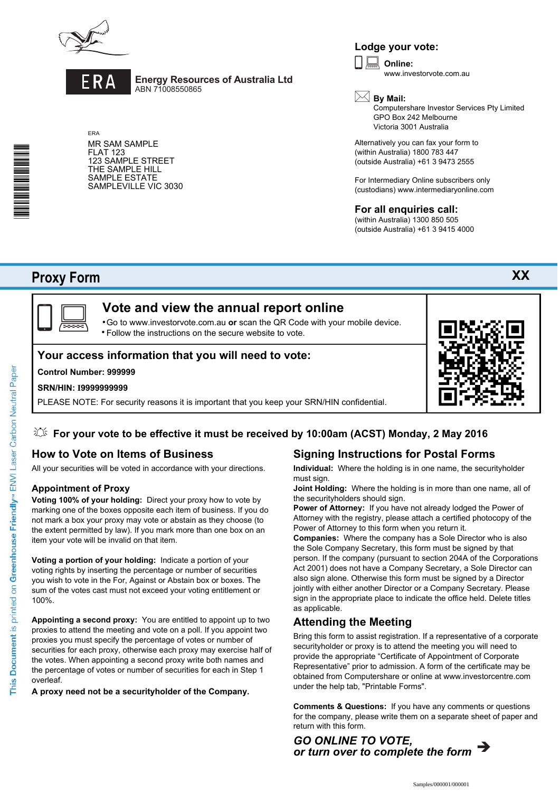



ERA

**Energy Resources of Australia Ltd** ABN 71008550865

MR SAM SAMPLE FLAT 123 123 SAMPLE STREET THE SAMPLE HILL SAMPLE ESTATE SAMPLEVILLE VIC 3030

# **Lodge your vote:**

**Online:** www.investorvote.com.au  $\boxed{\Box}$ 



Computershare Investor Services Pty Limited GPO Box 242 Melbourne Victoria 3001 Australia

**XX**

Alternatively you can fax your form to (within Australia) 1800 783 447 (outside Australia) +61 3 9473 2555

For Intermediary Online subscribers only (custodians) www.intermediaryonline.com

## **For all enquiries call:**

(within Australia) 1300 850 505 (outside Australia) +61 3 9415 4000

# **Proxy Form**

\*<br>\* London<br>Timografia



# **Vote and view the annual report online**

Go to www.investorvote.com.au **or** scan the QR Code with your mobile device. Follow the instructions on the secure website to vote. •

## **Your access information that you will need to vote:**

#### **Control Number: 999999**

#### **SRN/HIN: I9999999999**

PLEASE NOTE: For security reasons it is important that you keep your SRN/HIN confidential.



## **How to Vote on Items of Business**

All your securities will be voted in accordance with your directions.

#### **Appointment of Proxy**

**Voting 100% of your holding:** Direct your proxy how to vote by marking one of the boxes opposite each item of business. If you do not mark a box your proxy may vote or abstain as they choose (to the extent permitted by law). If you mark more than one box on an item your vote will be invalid on that item.

**Voting a portion of your holding:** Indicate a portion of your voting rights by inserting the percentage or number of securities you wish to vote in the For, Against or Abstain box or boxes. The sum of the votes cast must not exceed your voting entitlement or 100%.

**Appointing a second proxy:** You are entitled to appoint up to two proxies to attend the meeting and vote on a poll. If you appoint two proxies you must specify the percentage of votes or number of securities for each proxy, otherwise each proxy may exercise half of the votes. When appointing a second proxy write both names and the percentage of votes or number of securities for each in Step 1 overleaf.

**A proxy need not be a securityholder of the Company.**

### **Signing Instructions for Postal Forms Individual:** Where the holding is in one name, the securityholder

must sign. **Joint Holding:** Where the holding is in more than one name, all of

the securityholders should sign.

**Power of Attorney:** If you have not already lodged the Power of Attorney with the registry, please attach a certified photocopy of the Power of Attorney to this form when you return it.

**Companies:** Where the company has a Sole Director who is also the Sole Company Secretary, this form must be signed by that person. If the company (pursuant to section 204A of the Corporations Act 2001) does not have a Company Secretary, a Sole Director can also sign alone. Otherwise this form must be signed by a Director jointly with either another Director or a Company Secretary. Please sign in the appropriate place to indicate the office held. Delete titles as applicable.

## **Attending the Meeting**

Bring this form to assist registration. If a representative of a corporate securityholder or proxy is to attend the meeting you will need to provide the appropriate "Certificate of Appointment of Corporate Representative" prior to admission. A form of the certificate may be obtained from Computershare or online at www.investorcentre.com under the help tab, "Printable Forms".

**Comments & Questions:** If you have any comments or questions for the company, please write them on a separate sheet of paper and return with this form.